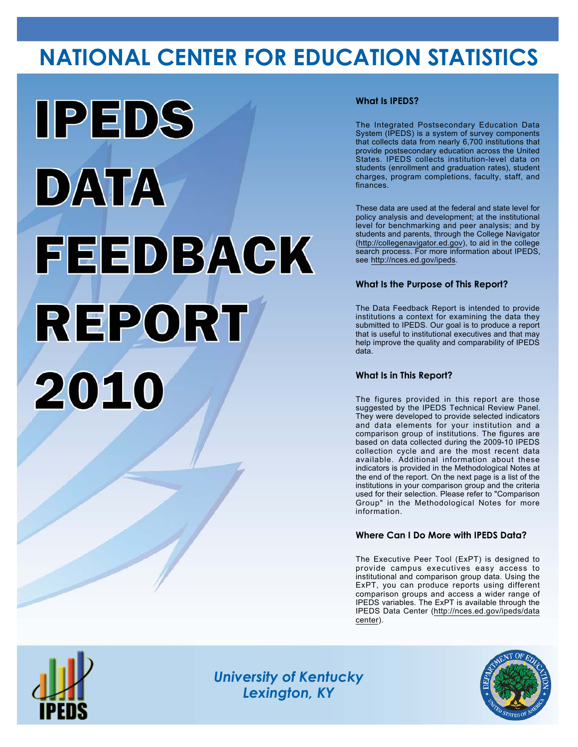# **NATIONAL CENTER FOR EDUCATION STATISTICS**



### **What Is IPEDS?**

The Integrated Postsecondary Education Data System (IPEDS) is a system of survey components that collects data from nearly 6,700 institutions that provide postsecondary education across the United States. IPEDS collects institution-level data on students (enrollment and graduation rates), student charges, program completions, faculty, staff, and finances.

These data are used at the federal and state level for policy analysis and development; at the institutional level for benchmarking and peer analysis; and by students and parents, through the College Navigator (<http://collegenavigator.ed.gov>), to aid in the college search process. For more information about IPEDS, see [http://nces.ed.gov/ipeds.](http://nces.ed.gov/ipeds)

### **What Is the Purpose of This Report?**

The Data Feedback Report is intended to provide institutions a context for examining the data they submitted to IPEDS. Our goal is to produce a report that is useful to institutional executives and that may help improve the quality and comparability of IPEDS data.

### **What Is in This Report?**

The figures provided in this report are those suggested by the IPEDS Technical Review Panel. They were developed to provide selected indicators and data elements for your institution and a comparison group of institutions. The figures are based on data collected during the 2009-10 IPEDS collection cycle and are the most recent data available. Additional information about these indicators is provided in the Methodological Notes at the end of the report. On the next page is a list of the institutions in your comparison group and the criteria used for their selection. Please refer to "Comparison Group" in the Methodological Notes for more information.

### **Where Can I Do More with IPEDS Data?**

The Executive Peer Tool (ExPT) is designed to provide campus executives easy access to institutional and comparison group data. Using the ExPT, you can produce reports using different comparison groups and access a wider range of IPEDS variables. The ExPT is available through the IPEDS Data Center ([http://nces.ed.gov/ipeds/data](http://nces.ed.gov/ipeds/datacenter) [center](http://nces.ed.gov/ipeds/datacenter)).



Image description. Cover Image End of image description.

*University of Kentucky Lexington, KY*

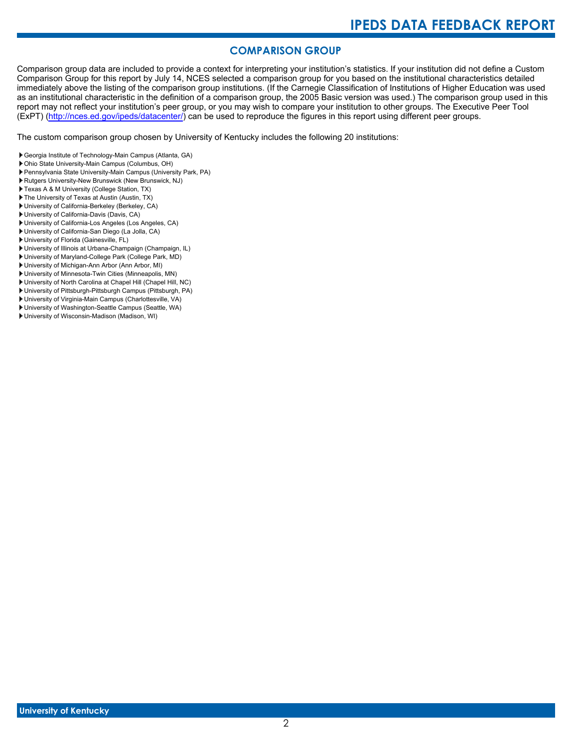# **COMPARISON GROUP**

Comparison group data are included to provide a context for interpreting your institution's statistics. If your institution did not define a Custom Comparison Group for this report by July 14, NCES selected a comparison group for you based on the institutional characteristics detailed immediately above the listing of the comparison group institutions. (If the Carnegie Classification of Institutions of Higher Education was used as an institutional characteristic in the definition of a comparison group, the 2005 Basic version was used.) The comparison group used in this report may not reflect your institution's peer group, or you may wish to compare your institution to other groups. The Executive Peer Tool (ExPT) [\(http://nces.ed.gov/ipeds/datacenter/\)](http://nces.ed.gov/ipeds/datacenter/) can be used to reproduce the figures in this report using different peer groups.

The custom comparison group chosen by University of Kentucky includes the following 20 institutions:

- Georgia Institute of Technology-Main Campus (Atlanta, GA)
- Ohio State University-Main Campus (Columbus, OH)
- Pennsylvania State University-Main Campus (University Park, PA)
- Rutgers University-New Brunswick (New Brunswick, NJ)
- Texas A & M University (College Station, TX)
- The University of Texas at Austin (Austin, TX)
- University of California-Berkeley (Berkeley, CA)
- University of California-Davis (Davis, CA)
- University of California-Los Angeles (Los Angeles, CA)
- University of California-San Diego (La Jolla, CA)
- University of Florida (Gainesville, FL)
- University of Illinois at Urbana-Champaign (Champaign, IL) University of Maryland-College Park (College Park, MD)
- 
- University of Michigan-Ann Arbor (Ann Arbor, MI)
- University of Minnesota-Twin Cities (Minneapolis, MN)
- University of North Carolina at Chapel Hill (Chapel Hill, NC)
- University of Pittsburgh-Pittsburgh Campus (Pittsburgh, PA) University of Virginia-Main Campus (Charlottesville, VA)
- University of Washington-Seattle Campus (Seattle, WA)
- University of Wisconsin-Madison (Madison, WI)
-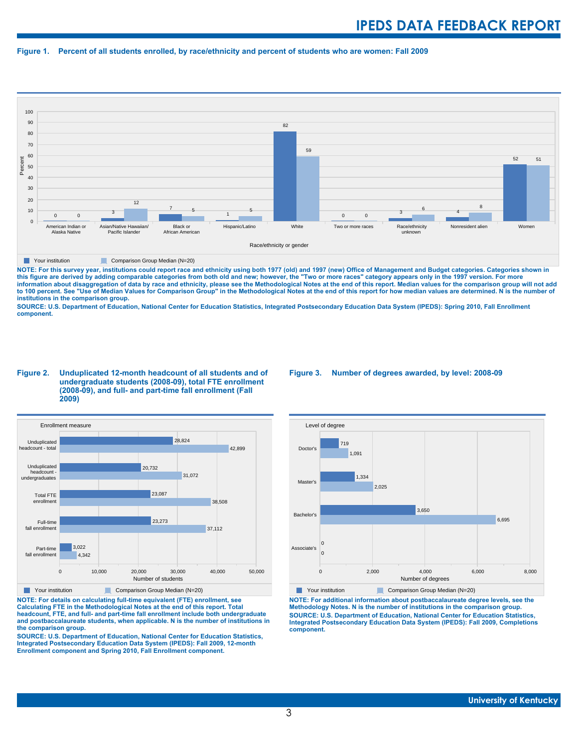#### **Figure 1. Percent of all students enrolled, by race/ethnicity and percent of students who are women: Fall 2009**



**The Comparison Group Median (N=20)** Comparison Group Median (N=20)

NOTE: For this survey year, institutions could report race and ethnicity using both 1977 (old) and 1997 (new) Office of Management and Budget categories. Categories shown in<br>this figure are derived by adding comparable cat **information about disaggregation of data by race and ethnicity, please see the Methodological Notes at the end of this report. Median values for the comparison group will not add to 100 percent. See "Use of Median Values for Comparison Group" in the Methodological Notes at the end of this report for how median values are determined. N is the number of institutions in the comparison group.**

**SOURCE: U.S. Department of Education, National Center for Education Statistics, Integrated Postsecondary Education Data System (IPEDS): Spring 2010, Fall Enrollment component.**

#### **Figure 2. Unduplicated 12-month headcount of all students and of undergraduate students (2008-09), total FTE enrollment (2008-09), and full- and part-time fall enrollment (Fall 2009)**



**The Comparison Group Median (N=20)** Comparison Group Median (N=20)

**NOTE: For details on calculating full-time equivalent (FTE) enrollment, see Calculating FTE in the Methodological Notes at the end of this report. Total headcount, FTE, and full- and part-time fall enrollment include both undergraduate and postbaccalaureate students, when applicable. N is the number of institutions in the comparison group.**

**SOURCE: U.S. Department of Education, National Center for Education Statistics, Integrated Postsecondary Education Data System (IPEDS): Fall 2009, 12-month Enrollment component and Spring 2010, Fall Enrollment component.**

#### **Figure 3. Number of degrees awarded, by level: 2008-09**



**The Your institution** Comparison Group Median (N=20)

**NOTE: For additional information about postbaccalaureate degree levels, see the Methodology Notes. N is the number of institutions in the comparison group. SOURCE: U.S. Department of Education, National Center for Education Statistics, Integrated Postsecondary Education Data System (IPEDS): Fall 2009, Completions component.**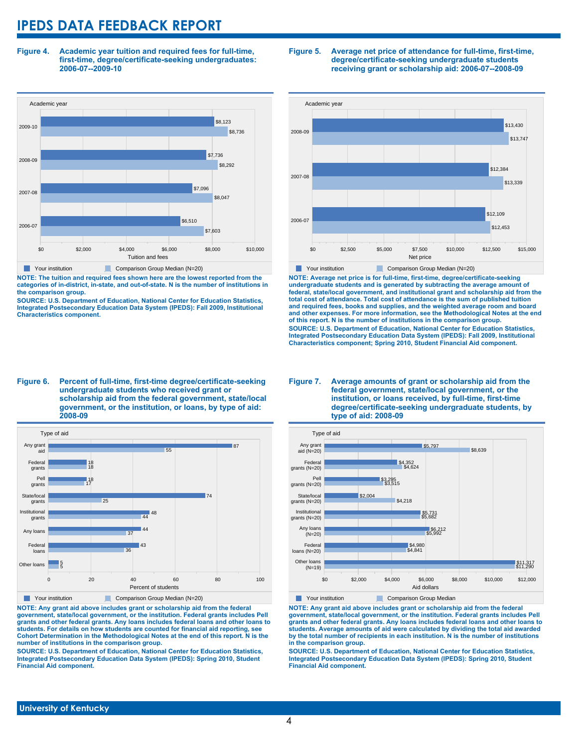**Figure 4. Academic year tuition and required fees for full-time, first-time, degree/certificate-seeking undergraduates: 2006-07--2009-10**



**NOTE: The tuition and required fees shown here are the lowest reported from the categories of in-district, in-state, and out-of-state. N is the number of institutions in the comparison group.**

**SOURCE: U.S. Department of Education, National Center for Education Statistics, Integrated Postsecondary Education Data System (IPEDS): Fall 2009, Institutional Characteristics component.**

#### **Figure 5. Average net price of attendance for full-time, first-time, degree/certificate-seeking undergraduate students receiving grant or scholarship aid: 2006-07--2008-09**



**NOTE: Average net price is for full-time, first-time, degree/certificate-seeking undergraduate students and is generated by subtracting the average amount of federal, state/local government, and institutional grant and scholarship aid from the total cost of attendance. Total cost of attendance is the sum of published tuition and required fees, books and supplies, and the weighted average room and board and other expenses. For more information, see the Methodological Notes at the end of this report. N is the number of institutions in the comparison group. SOURCE: U.S. Department of Education, National Center for Education Statistics, Integrated Postsecondary Education Data System (IPEDS): Fall 2009, Institutional Characteristics component; Spring 2010, Student Financial Aid component.**

#### **Figure 6. Percent of full-time, first-time degree/certificate-seeking undergraduate students who received grant or scholarship aid from the federal government, state/local government, or the institution, or loans, by type of aid: 2008-09**



**NOTE: Any grant aid above includes grant or scholarship aid from the federal government, state/local government, or the institution. Federal grants includes Pell grants and other federal grants. Any loans includes federal loans and other loans to students. For details on how students are counted for financial aid reporting, see Cohort Determination in the Methodological Notes at the end of this report. N is the number of institutions in the comparison group.**

**SOURCE: U.S. Department of Education, National Center for Education Statistics, Integrated Postsecondary Education Data System (IPEDS): Spring 2010, Student Financial Aid component.**

#### **Figure 7. Average amounts of grant or scholarship aid from the federal government, state/local government, or the institution, or loans received, by full-time, first-time degree/certificate-seeking undergraduate students, by type of aid: 2008-09**



**NOTE: Any grant aid above includes grant or scholarship aid from the federal government, state/local government, or the institution. Federal grants includes Pell grants and other federal grants. Any loans includes federal loans and other loans to students. Average amounts of aid were calculated by dividing the total aid awarded by the total number of recipients in each institution. N is the number of institutions in the comparison group.**

**SOURCE: U.S. Department of Education, National Center for Education Statistics, Integrated Postsecondary Education Data System (IPEDS): Spring 2010, Student Financial Aid component.**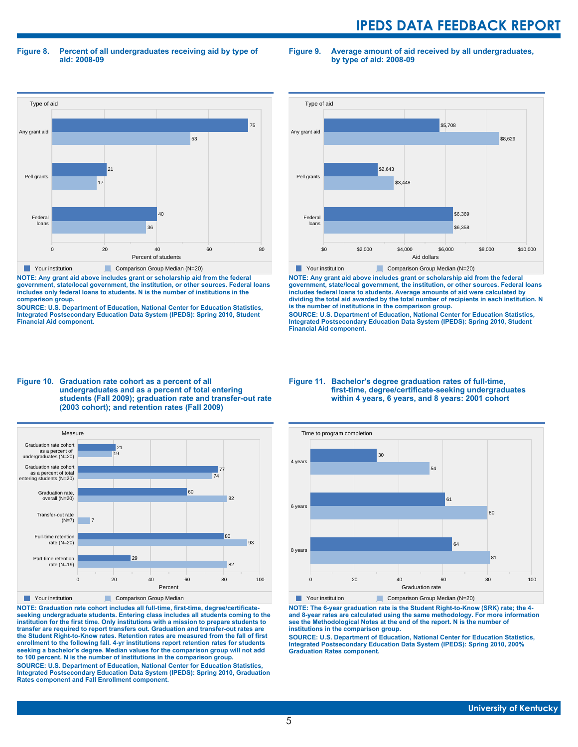**Figure 8. Percent of all undergraduates receiving aid by type of aid: 2008-09**

**Figure 9. Average amount of aid received by all undergraduates, by type of aid: 2008-09**



**NOTE: Any grant aid above includes grant or scholarship aid from the federal government, state/local government, the institution, or other sources. Federal loans includes only federal loans to students. N is the number of institutions in the comparison group.**

**SOURCE: U.S. Department of Education, National Center for Education Statistics, Integrated Postsecondary Education Data System (IPEDS): Spring 2010, Student Financial Aid component.**



**NOTE: Any grant aid above includes grant or scholarship aid from the federal government, state/local government, the institution, or other sources. Federal loans includes federal loans to students. Average amounts of aid were calculated by dividing the total aid awarded by the total number of recipients in each institution. N is the number of institutions in the comparison group.**

**SOURCE: U.S. Department of Education, National Center for Education Statistics, Integrated Postsecondary Education Data System (IPEDS): Spring 2010, Student Financial Aid component.**





**NOTE: Graduation rate cohort includes all full-time, first-time, degree/certificateseeking undergraduate students. Entering class includes all students coming to the institution for the first time. Only institutions with a mission to prepare students to transfer are required to report transfers out. Graduation and transfer-out rates are the Student Right-to-Know rates. Retention rates are measured from the fall of first enrollment to the following fall. 4-yr institutions report retention rates for students seeking a bachelor's degree. Median values for the comparison group will not add to 100 percent. N is the number of institutions in the comparison group.**

**SOURCE: U.S. Department of Education, National Center for Education Statistics, Integrated Postsecondary Education Data System (IPEDS): Spring 2010, Graduation Rates component and Fall Enrollment component.**

#### **Figure 11. Bachelor's degree graduation rates of full-time, first-time, degree/certificate-seeking undergraduates within 4 years, 6 years, and 8 years: 2001 cohort**



**NOTE: The 6-year graduation rate is the Student Right-to-Know (SRK) rate; the 4 and 8-year rates are calculated using the same methodology. For more information see the Methodological Notes at the end of the report. N is the number of institutions in the comparison group.**

**SOURCE: U.S. Department of Education, National Center for Education Statistics, Integrated Postsecondary Education Data System (IPEDS): Spring 2010, 200% Graduation Rates component.**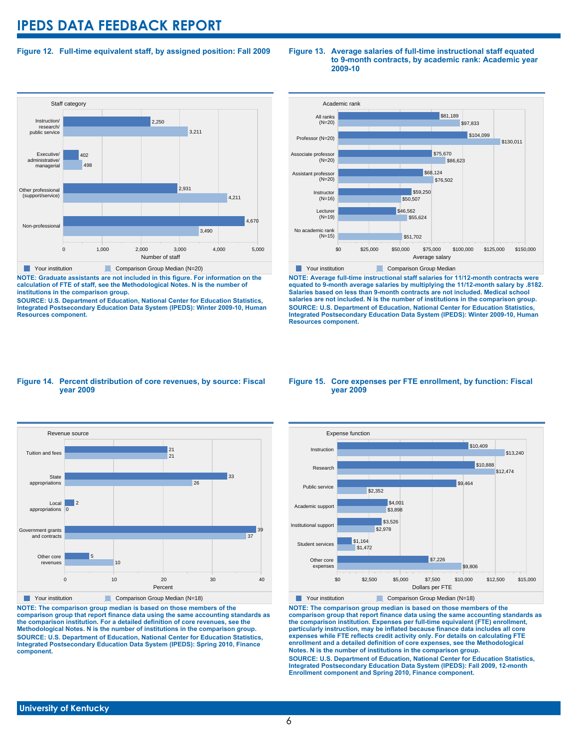#### **Figure 12. Full-time equivalent staff, by assigned position: Fall 2009**



**NOTE: Graduate assistants are not included in this figure. For information on the calculation of FTE of staff, see the Methodological Notes. N is the number of institutions in the comparison group.**

**SOURCE: U.S. Department of Education, National Center for Education Statistics, Integrated Postsecondary Education Data System (IPEDS): Winter 2009-10, Human Resources component.**

#### **Figure 13. Average salaries of full-time instructional staff equated to 9-month contracts, by academic rank: Academic year 2009-10**



**NOTE: Average full-time instructional staff salaries for 11/12-month contracts were equated to 9-month average salaries by multiplying the 11/12-month salary by .8182. Salaries based on less than 9-month contracts are not included. Medical school salaries are not included. N is the number of institutions in the comparison group. SOURCE: U.S. Department of Education, National Center for Education Statistics, Integrated Postsecondary Education Data System (IPEDS): Winter 2009-10, Human Resources component.**

#### **Figure 14. Percent distribution of core revenues, by source: Fiscal year 2009**



**NOTE: The comparison group median is based on those members of the comparison group that report finance data using the same accounting standards as the comparison institution. For a detailed definition of core revenues, see the Methodological Notes. N is the number of institutions in the comparison group. SOURCE: U.S. Department of Education, National Center for Education Statistics, Integrated Postsecondary Education Data System (IPEDS): Spring 2010, Finance component.**

#### **Figure 15. Core expenses per FTE enrollment, by function: Fiscal year 2009**



**NOTE: The comparison group median is based on those members of the comparison group that report finance data using the same accounting standards as the comparison institution. Expenses per full-time equivalent (FTE) enrollment, particularly instruction, may be inflated because finance data includes all core expenses while FTE reflects credit activity only. For details on calculating FTE enrollment and a detailed definition of core expenses, see the Methodological Notes. N is the number of institutions in the comparison group. SOURCE: U.S. Department of Education, National Center for Education Statistics, Integrated Postsecondary Education Data System (IPEDS): Fall 2009, 12-month Enrollment component and Spring 2010, Finance component.**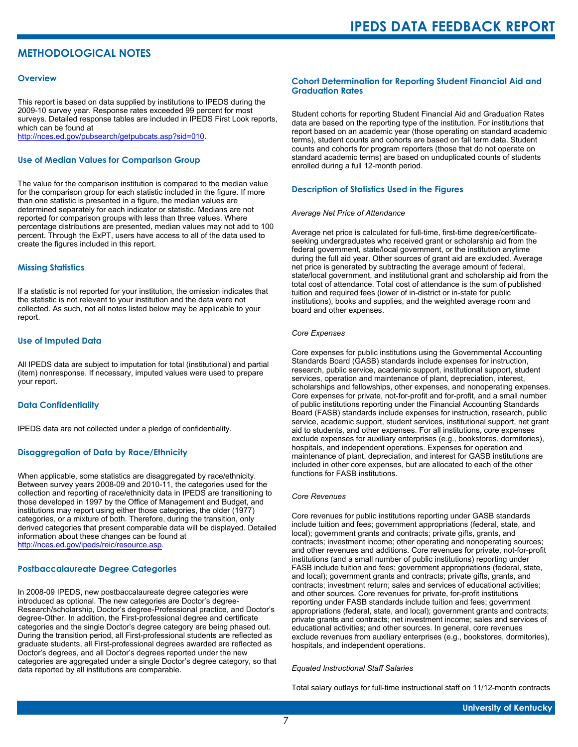## **METHODOLOGICAL NOTES**

#### **Overview**

This report is based on data supplied by institutions to IPEDS during the 2009-10 survey year. Response rates exceeded 99 percent for most surveys. Detailed response tables are included in IPEDS First Look reports, which can be found at [http://nces.ed.gov/pubsearch/getpubcats.asp?sid=010.](http://nces.ed.gov/pubsearch/getpubcats.asp?sid=010)

#### **Use of Median Values for Comparison Group**

The value for the comparison institution is compared to the median value for the comparison group for each statistic included in the figure. If more than one statistic is presented in a figure, the median values are determined separately for each indicator or statistic. Medians are not reported for comparison groups with less than three values. Where percentage distributions are presented, median values may not add to 100 percent. Through the ExPT, users have access to all of the data used to create the figures included in this report.

#### **Missing Statistics**

If a statistic is not reported for your institution, the omission indicates that the statistic is not relevant to your institution and the data were not collected. As such, not all notes listed below may be applicable to your report.

#### **Use of Imputed Data**

All IPEDS data are subject to imputation for total (institutional) and partial (item) nonresponse. If necessary, imputed values were used to prepare your report.

#### **Data Confidentiality**

IPEDS data are not collected under a pledge of confidentiality.

#### **Disaggregation of Data by Race/Ethnicity**

When applicable, some statistics are disaggregated by race/ethnicity. Between survey years 2008-09 and 2010-11, the categories used for the collection and reporting of race/ethnicity data in IPEDS are transitioning to those developed in 1997 by the Office of Management and Budget, and institutions may report using either those categories, the older (1977) categories, or a mixture of both. Therefore, during the transition, only derived categories that present comparable data will be displayed. Detailed information about these changes can be found at <http://nces.ed.gov/ipeds/reic/resource.asp>.

#### **Postbaccalaureate Degree Categories**

In 2008-09 IPEDS, new postbaccalaureate degree categories were introduced as optional. The new categories are Doctor's degree-Research/scholarship, Doctor's degree-Professional practice, and Doctor's degree-Other. In addition, the First-professional degree and certificate categories and the single Doctor's degree category are being phased out. During the transition period, all First-professional students are reflected as graduate students, all First-professional degrees awarded are reflected as Doctor's degrees, and all Doctor's degrees reported under the new categories are aggregated under a single Doctor's degree category, so that data reported by all institutions are comparable.

#### **Cohort Determination for Reporting Student Financial Aid and Graduation Rates**

Student cohorts for reporting Student Financial Aid and Graduation Rates data are based on the reporting type of the institution. For institutions that report based on an academic year (those operating on standard academic terms), student counts and cohorts are based on fall term data. Student counts and cohorts for program reporters (those that do not operate on standard academic terms) are based on unduplicated counts of students enrolled during a full 12-month period.

#### **Description of Statistics Used in the Figures**

#### *Average Net Price of Attendance*

Average net price is calculated for full-time, first-time degree/certificateseeking undergraduates who received grant or scholarship aid from the federal government, state/local government, or the institution anytime during the full aid year. Other sources of grant aid are excluded. Average net price is generated by subtracting the average amount of federal, state/local government, and institutional grant and scholarship aid from the total cost of attendance. Total cost of attendance is the sum of published tuition and required fees (lower of in-district or in-state for public institutions), books and supplies, and the weighted average room and board and other expenses.

#### *Core Expenses*

Core expenses for public institutions using the Governmental Accounting Standards Board (GASB) standards include expenses for instruction, research, public service, academic support, institutional support, student services, operation and maintenance of plant, depreciation, interest, scholarships and fellowships, other expenses, and nonoperating expenses. Core expenses for private, not-for-profit and for-profit, and a small number of public institutions reporting under the Financial Accounting Standards Board (FASB) standards include expenses for instruction, research, public service, academic support, student services, institutional support, net grant aid to students, and other expenses. For all institutions, core expenses exclude expenses for auxiliary enterprises (e.g., bookstores, dormitories), hospitals, and independent operations. Expenses for operation and maintenance of plant, depreciation, and interest for GASB institutions are included in other core expenses, but are allocated to each of the other functions for FASB institutions.

#### *Core Revenues*

Core revenues for public institutions reporting under GASB standards include tuition and fees; government appropriations (federal, state, and local); government grants and contracts; private gifts, grants, and contracts; investment income; other operating and nonoperating sources; and other revenues and additions. Core revenues for private, not-for-profit institutions (and a small number of public institutions) reporting under FASB include tuition and fees; government appropriations (federal, state, and local); government grants and contracts; private gifts, grants, and contracts; investment return; sales and services of educational activities; and other sources. Core revenues for private, for-profit institutions reporting under FASB standards include tuition and fees; government appropriations (federal, state, and local); government grants and contracts; private grants and contracts; net investment income; sales and services of educational activities; and other sources. In general, core revenues exclude revenues from auxiliary enterprises (e.g., bookstores, dormitories), hospitals, and independent operations.

#### *Equated Instructional Staff Salaries*

Total salary outlays for full-time instructional staff on 11/12-month contracts